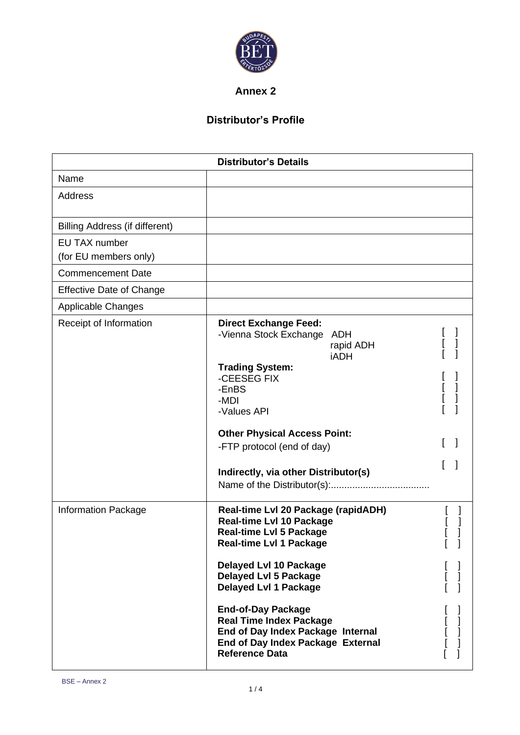

**Annex 2**

## **Distributor's Profile**

| <b>Distributor's Details</b>           |                                                                                                                                                                                                                                                                                                                                                                                                               |   |   |
|----------------------------------------|---------------------------------------------------------------------------------------------------------------------------------------------------------------------------------------------------------------------------------------------------------------------------------------------------------------------------------------------------------------------------------------------------------------|---|---|
| Name                                   |                                                                                                                                                                                                                                                                                                                                                                                                               |   |   |
| Address                                |                                                                                                                                                                                                                                                                                                                                                                                                               |   |   |
| Billing Address (if different)         |                                                                                                                                                                                                                                                                                                                                                                                                               |   |   |
| EU TAX number<br>(for EU members only) |                                                                                                                                                                                                                                                                                                                                                                                                               |   |   |
| <b>Commencement Date</b>               |                                                                                                                                                                                                                                                                                                                                                                                                               |   |   |
| <b>Effective Date of Change</b>        |                                                                                                                                                                                                                                                                                                                                                                                                               |   |   |
| <b>Applicable Changes</b>              |                                                                                                                                                                                                                                                                                                                                                                                                               |   |   |
| Receipt of Information                 | <b>Direct Exchange Feed:</b><br>-Vienna Stock Exchange ADH<br>rapid ADH<br><b>iADH</b><br><b>Trading System:</b><br>-CEESEG FIX<br>-EnBS<br>-MDI<br>-Values API<br><b>Other Physical Access Point:</b><br>-FTP protocol (end of day)<br>Indirectly, via other Distributor(s)                                                                                                                                  |   |   |
| Information Package                    | Real-time Lvl 20 Package (rapidADH)<br><b>Real-time LvI 10 Package</b><br><b>Real-time LvI 5 Package</b><br><b>Real-time LvI 1 Package</b><br><b>Delayed Lvl 10 Package</b><br><b>Delayed LvI 5 Package</b><br><b>Delayed LvI 1 Package</b><br><b>End-of-Day Package</b><br><b>Real Time Index Package</b><br>End of Day Index Package Internal<br>End of Day Index Package External<br><b>Reference Data</b> | L | L |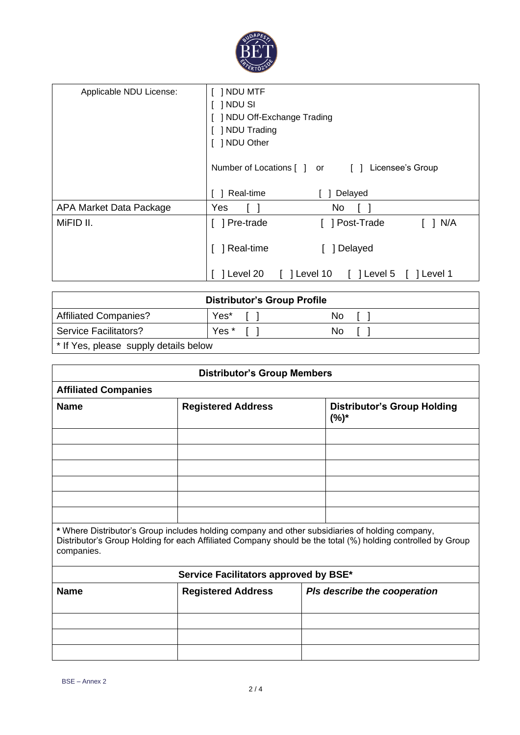

| Applicable NDU License: | $[$ ] NDU MTF<br>$\lceil$ $\lceil$ NDU SI<br>[ ] NDU Off-Exchange Trading<br>[ ] NDU Trading<br>[ ] NDU Other |  |  |
|-------------------------|---------------------------------------------------------------------------------------------------------------|--|--|
|                         | Number of Locations [ ] or [ ]<br>Licensee's Group                                                            |  |  |
|                         | Real-time<br>Delayed                                                                                          |  |  |
| APA Market Data Package | Yes<br>No                                                                                                     |  |  |
| MiFID II.               | Pre-trade<br>[ ] Post-Trade<br>$\lceil$   N/A                                                                 |  |  |
|                         | ] Real-time<br>] Delayed                                                                                      |  |  |
|                         | 1 Level 10<br>Level 20<br>$\lceil$   Level 5<br>] Level 1                                                     |  |  |

| <b>Distributor's Group Profile</b>               |         |     |  |
|--------------------------------------------------|---------|-----|--|
| <b>Affiliated Companies?</b>                     | Yes*    | No. |  |
| <b>Service Facilitators?</b>                     | Yes * [ | No. |  |
| <sup>*</sup> If Yes, please supply details below |         |     |  |

| <b>Distributor's Group Members</b>                                                                                                                                                                                           |                           |                                               |  |
|------------------------------------------------------------------------------------------------------------------------------------------------------------------------------------------------------------------------------|---------------------------|-----------------------------------------------|--|
| <b>Affiliated Companies</b>                                                                                                                                                                                                  |                           |                                               |  |
| <b>Name</b>                                                                                                                                                                                                                  | <b>Registered Address</b> | <b>Distributor's Group Holding</b><br>$(%)^*$ |  |
|                                                                                                                                                                                                                              |                           |                                               |  |
|                                                                                                                                                                                                                              |                           |                                               |  |
|                                                                                                                                                                                                                              |                           |                                               |  |
|                                                                                                                                                                                                                              |                           |                                               |  |
|                                                                                                                                                                                                                              |                           |                                               |  |
| * Where Distributor's Group includes holding company and other subsidiaries of holding company,<br>Distributor's Group Holding for each Affiliated Company should be the total (%) holding controlled by Group<br>companies. |                           |                                               |  |

| Service Facilitators approved by BSE* |                           |                              |  |
|---------------------------------------|---------------------------|------------------------------|--|
| <b>Name</b>                           | <b>Registered Address</b> | Pls describe the cooperation |  |
|                                       |                           |                              |  |
|                                       |                           |                              |  |
|                                       |                           |                              |  |
|                                       |                           |                              |  |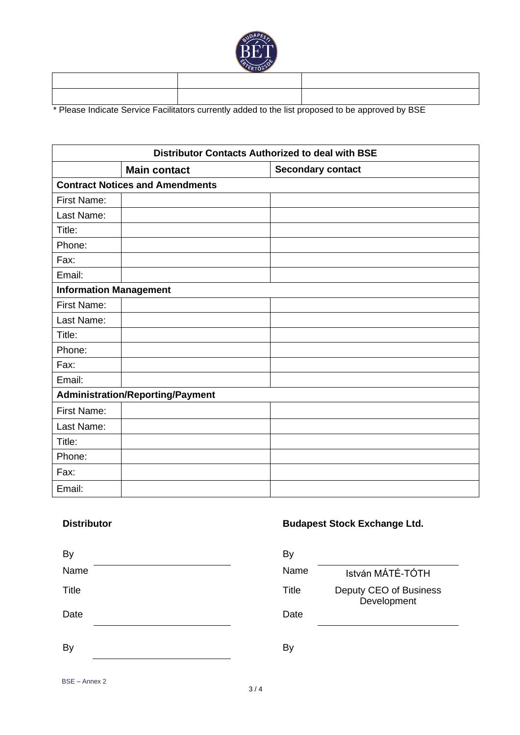

\* Please Indicate Service Facilitators currently added to the list proposed to be approved by BSE

| <b>Distributor Contacts Authorized to deal with BSE</b> |                                        |                          |  |
|---------------------------------------------------------|----------------------------------------|--------------------------|--|
|                                                         | <b>Main contact</b>                    | <b>Secondary contact</b> |  |
|                                                         | <b>Contract Notices and Amendments</b> |                          |  |
| First Name:                                             |                                        |                          |  |
| Last Name:                                              |                                        |                          |  |
| Title:                                                  |                                        |                          |  |
| Phone:                                                  |                                        |                          |  |
| Fax:                                                    |                                        |                          |  |
| Email:                                                  |                                        |                          |  |
| <b>Information Management</b>                           |                                        |                          |  |
| First Name:                                             |                                        |                          |  |
| Last Name:                                              |                                        |                          |  |
| Title:                                                  |                                        |                          |  |
| Phone:                                                  |                                        |                          |  |
| Fax:                                                    |                                        |                          |  |
| Email:                                                  |                                        |                          |  |
| <b>Administration/Reporting/Payment</b>                 |                                        |                          |  |
| First Name:                                             |                                        |                          |  |
| Last Name:                                              |                                        |                          |  |
| Title:                                                  |                                        |                          |  |
| Phone:                                                  |                                        |                          |  |
| Fax:                                                    |                                        |                          |  |
| Email:                                                  |                                        |                          |  |

## **Distributor Budapest Stock Exchange Ltd.**

| By           | By    |                                       |
|--------------|-------|---------------------------------------|
| Name         | Name  | István MÁTÉ-TÓTH                      |
| <b>Title</b> | Title | Deputy CEO of Business<br>Development |
| Date         | Date  |                                       |
| By           | By    |                                       |